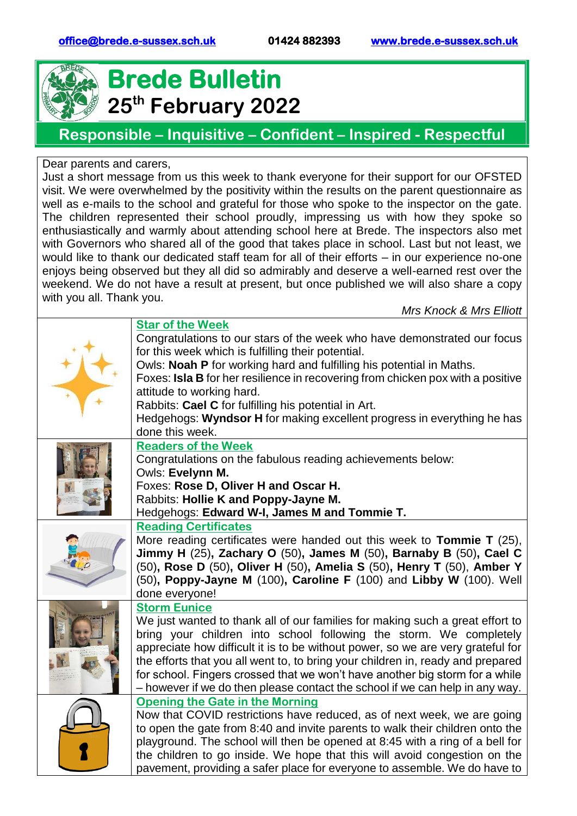

## **Brede Bulletin 25th February 2022**

## **Responsible – Inquisitive – Confident – Inspired - Respectful**

Dear parents and carers,

Just a short message from us this week to thank everyone for their support for our OFSTED visit. We were overwhelmed by the positivity within the results on the parent questionnaire as well as e-mails to the school and grateful for those who spoke to the inspector on the gate. The children represented their school proudly, impressing us with how they spoke so enthusiastically and warmly about attending school here at Brede. The inspectors also met with Governors who shared all of the good that takes place in school. Last but not least, we would like to thank our dedicated staff team for all of their efforts – in our experience no-one enjoys being observed but they all did so admirably and deserve a well-earned rest over the weekend. We do not have a result at present, but once published we will also share a copy with you all. Thank you.

*Mrs Knock & Mrs Elliott*

|  | <b>Star of the Week</b>                                                         |  |  |
|--|---------------------------------------------------------------------------------|--|--|
|  | Congratulations to our stars of the week who have demonstrated our focus        |  |  |
|  | for this week which is fulfilling their potential.                              |  |  |
|  | Owls: Noah P for working hard and fulfilling his potential in Maths.            |  |  |
|  | Foxes: Isla B for her resilience in recovering from chicken pox with a positive |  |  |
|  | attitude to working hard.                                                       |  |  |
|  | Rabbits: Cael C for fulfilling his potential in Art.                            |  |  |
|  | Hedgehogs: Wyndsor H for making excellent progress in everything he has         |  |  |
|  | done this week.                                                                 |  |  |
|  | <b>Readers of the Week</b>                                                      |  |  |
|  | Congratulations on the fabulous reading achievements below:                     |  |  |
|  | Owls: Evelynn M.                                                                |  |  |
|  | Foxes: Rose D, Oliver H and Oscar H.                                            |  |  |
|  | Rabbits: Hollie K and Poppy-Jayne M.                                            |  |  |
|  | Hedgehogs: Edward W-I, James M and Tommie T.                                    |  |  |
|  | <b>Reading Certificates</b>                                                     |  |  |
|  | More reading certificates were handed out this week to <b>Tommie T</b> $(25)$ , |  |  |
|  | Jimmy H (25), Zachary O (50), James M (50), Barnaby B (50), Cael C              |  |  |
|  | (50), Rose D (50), Oliver H (50), Amelia S (50), Henry T (50), Amber Y          |  |  |
|  | (50), Poppy-Jayne M (100), Caroline F (100) and Libby W (100). Well             |  |  |
|  | done everyone!                                                                  |  |  |
|  | <b>Storm Eunice</b>                                                             |  |  |
|  | We just wanted to thank all of our families for making such a great effort to   |  |  |
|  | bring your children into school following the storm. We completely              |  |  |
|  | appreciate how difficult it is to be without power, so we are very grateful for |  |  |
|  | the efforts that you all went to, to bring your children in, ready and prepared |  |  |
|  | for school. Fingers crossed that we won't have another big storm for a while    |  |  |
|  | - however if we do then please contact the school if we can help in any way.    |  |  |
|  | <b>Opening the Gate in the Morning</b>                                          |  |  |
|  | Now that COVID restrictions have reduced, as of next week, we are going         |  |  |
|  | to open the gate from 8:40 and invite parents to walk their children onto the   |  |  |
|  | playground. The school will then be opened at 8:45 with a ring of a bell for    |  |  |
|  | the children to go inside. We hope that this will avoid congestion on the       |  |  |
|  | pavement, providing a safer place for everyone to assemble. We do have to       |  |  |